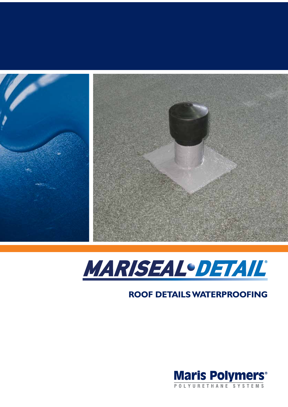



# **ROOF DETAILS WATERPROOFING**

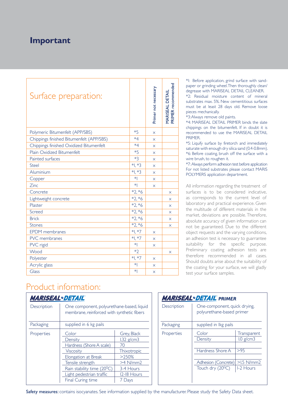## **Important**

| Surface preparation:                     |              | Primer not necessary | MARISEAL DETAIL<br>PRIMER recommended |
|------------------------------------------|--------------|----------------------|---------------------------------------|
| Polymeric Bitumenfelt (APP/SBS)          | $*5$         | $\times$             |                                       |
| Chippings finished Bitumenfelt (APP/SBS) | $*4$         | X                    |                                       |
| Chippings finished Oxidized Bitumenfelt  | $*4$         | $\times$             |                                       |
| Plain Oxidized Bitumenfelt               | $*5$         | X                    |                                       |
| Painted surfaces                         | $*3$         | X                    |                                       |
| Steel                                    | *1, *3       | X                    |                                       |
| Aluminium                                | *1, *3       | $\times$             |                                       |
| Copper                                   | $*$          | X                    |                                       |
| Zinc                                     | $*$          | $\times$             |                                       |
| Concrete                                 | $*2, *6$     |                      | X                                     |
| Lightweight concrete                     | $*2, *6$     |                      | $\times$                              |
| Plaster                                  | $*2, *6$     |                      | $\times$                              |
| Screed                                   | $*2, *6$     |                      | X                                     |
| <b>Brick</b>                             | $*2, *6$     |                      | $\times$                              |
| <b>Stones</b>                            | $*2, *6$     |                      | X                                     |
| <b>EPDM</b> membranes                    | $*$ I, $*$ 7 | X                    |                                       |
| PVC membranes                            | $*1, *7$     | $\times$             |                                       |
| PVC rigid                                | $*$          | X                    |                                       |
| Wood                                     | $*$          |                      | X                                     |
| Polyester                                | *1, *7       | X                    |                                       |
| Acrylic glass                            | $*$          | $\times$             |                                       |
| Glass                                    | $*$          | ×                    |                                       |

\*1: Before application, grind surface with sandpaper or grinding wheel. Then thoroughly clean/ degrease with MARISEAL DETAIL CLEANER.

\*2: Residual moisture content of mineral substrates max. 5%. New cementitious surfaces must be at least 28 days old. Remove loose pieces mechanically.

\*3: Always remove old paints.

\*4: MARISEAL DETAIL PRIMER binds the slate chippings on the bitumenfelt. If in doubt it is recommended to use the MARISEAL DETAIL PRIMER.

\*5: Liquify surface by firetorch and immediately saturate with enough dry silica sand (0.4-0.8mm). \*6: Before coating, brush off the surface with a wire brush, to roughen it.

\*7: Always perform adhesion test before application For not listed substrates please contact MARIS POLYMERS application department.

All information regarding the treatment of surfaces is to be considered indicative, as corresponds to the current level of laboratory and practical experience. Given the multitude of different materials in the market, deviations are possible. Therefore, absolute accuracy of given information can not be guaranteed. Due to the different object requests and the varying conditions, an adhesion test is necessary to guarrantee suitability for the specific purpose. Preliminary coating adhesion tests are therefore recommended in all cases. Should doubts arise about the suitability of the coating for your surface, we will gladly test your surface samples.

# Product information:

| <i><b>MARISEAL•DETAIL</b></i> |                                                                                                                                                                                               |                                                                                                             |  |  |  |
|-------------------------------|-----------------------------------------------------------------------------------------------------------------------------------------------------------------------------------------------|-------------------------------------------------------------------------------------------------------------|--|--|--|
| Description                   | One component, polyurethane-based, liquid<br>membrane, reinforced with synthetic fibers                                                                                                       |                                                                                                             |  |  |  |
| Packaging                     | supplied in 6 kg pails                                                                                                                                                                        |                                                                                                             |  |  |  |
| Properties                    | Color<br>Density<br>Hardness (Shore A scale)<br><b>Viscosity</b><br>Elongation at Break<br>Tensile strength<br>Rain stability time $(20^0C)$<br>Light pedestrian traffic<br>Final Curing time | Grey, Black<br>$1.32$ g/cm3<br>70<br>Thixotropic<br>>250%<br>$>4$ N/mm2<br>3-4 Hours<br>12-18 Hours<br>Days |  |  |  |

| <b>MARISEAL·DETAIL</b> PRIMER |                                                                                              |                                                              |  |  |  |
|-------------------------------|----------------------------------------------------------------------------------------------|--------------------------------------------------------------|--|--|--|
| Description                   | One-component, quick drying,<br>polyurethane-based primer                                    |                                                              |  |  |  |
| Packaging                     | supplied in Ikg pails                                                                        |                                                              |  |  |  |
| Properties                    | Color<br>Density<br>Hardness Shore A<br>Adhesion (Concrete)<br>Touch dry (20 <sup>0</sup> C) | Transparent<br>1.0 g/cm3<br>>95<br>$>1.5$ N/mm2<br>1-2 Hours |  |  |  |
|                               |                                                                                              |                                                              |  |  |  |

Safety measures: contains isocyanates. See information supplied by the manufacturer. Please study the Safety Data sheet.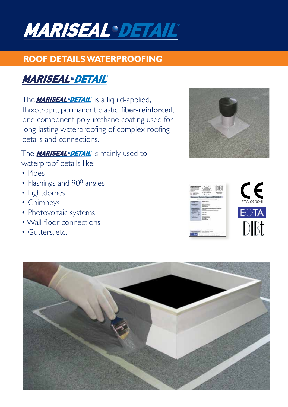

## **ROOF DETAILS WATERPROOFING**

# **MARISEAL·DETAIL**

The **MARISEAL · DETAIL** is a liquid-applied, thixotropic, permanent elastic, fiber-reinforced, one component polyurethane coating used for long-lasting waterproofing of complex roofing details and connections.

The **MARISEAL·DETAIL** is mainly used to waterproof details like:

- Pipes
- Flashings and 90<sup>0</sup> angles
- Lightdomes
- Chimneys
- Photovoltaic systems
- Wall-floor connections
- Gutters, etc.



|   | ETA 09/0241 |
|---|-------------|
|   |             |
| ٠ |             |

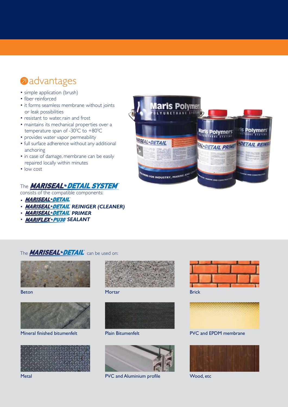# **advantages**

- simple application (brush)
- fiber reinforced
- it forms seamless membrane without joints or leak possibilities
- resistant to water, rain and frost
- maintains its mechanical properties over a temperature span of -30 $\degree$ C to +80 $\degree$ C
- provides water vapor permeability
- full surface adherence without any additional anchoring
- in case of damage, membrane can be easily repaired locally within minutes
- low cost

### The **MARISEAL** • DETAIL SYSTEM®

consists of the compatible components:

- MARISEAL·DETAIL
- · *MARISEAL·DETAIL* REINIGER (CLEANER)
- · *MARISEAL·DETAIL* PRIMER
- **MARIFLEX** · **PU30** SEALANT



#### The **MARISEAL DETAIL** can be used on:



Beton



Mineral finished bitumenfelt



**Metal** 



**Mortar** 



Plain Bitumenfelt



PVC and Aluminium profile



Brick



PVC and EPDM membrane



Wood, etc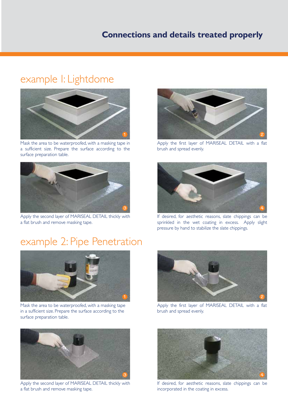# example 1: Lightdome



Mask the area to be waterproofed, with a masking tape in a sufficient size. Prepare the surface according to the surface preparation table.



Apply the second layer of MARISEAL DETAIL thickly with a flat brush and remove masking tape.

# example 2: Pipe Penetration



Mask the area to be waterproofed, with a masking tape in a sufficient size. Prepare the surface according to the surface preparation table.



Apply the second layer of MARISEAL DETAIL thickly with a flat brush and remove masking tape.



Apply the first layer of MARISEAL DETAIL with a flat brush and spread evenly.



If desired, for aesthetic reasons, slate chippings can be sprinkled in the wet coating in excess. Apply slight pressure by hand to stabilize the slate chippings.



Apply the first layer of MARISEAL DETAIL with a flat brush and spread evenly.



If desired, for aesthetic reasons, slate chippings can be incorporated in the coating in excess.